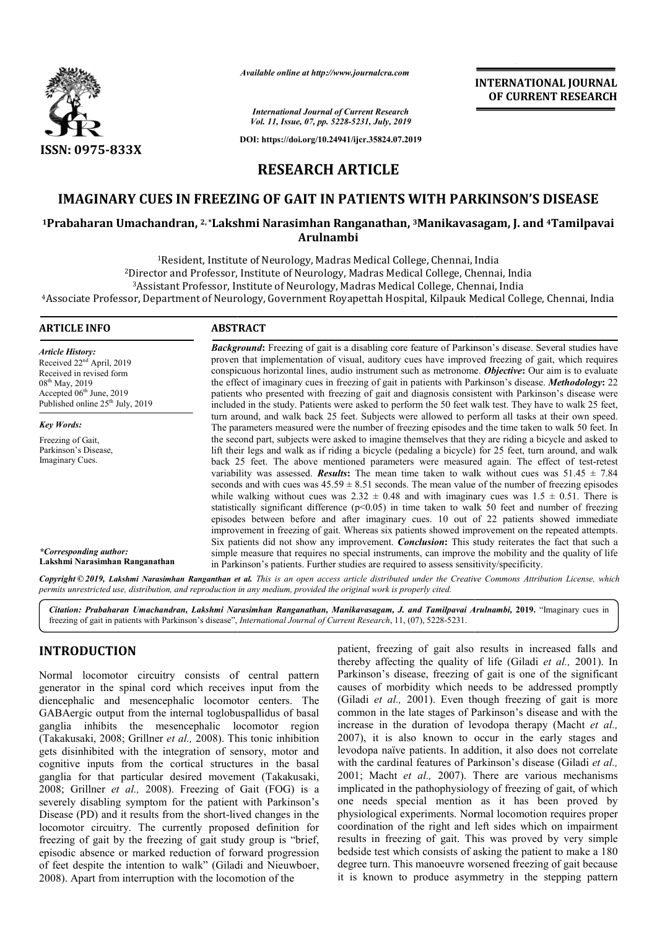

*Available online at http://www.journalcra.com*

*International Journal of Current Research Vol. 11, Issue, 07, pp. 5228-5231, July, 2019*

**DOI: https://doi.org/10.24941/ijcr.35824.07.2019**

# **INTERNATIONAL JOURNAL OF CURRENT RESEARCH**

# **RESEARCH ARTICLE**

# **IMAGINARY CUES IN FREEZING OF GAIT IN PATIENTS WITH PARKINSON'S DISEASE**

# **IMAGINARY CUES IN FREEZING OF GAIT IN PATIENTS WITH PARKINSON'S DISEASE**<br><sup>1</sup>Prabaharan Umachandran, <sup>2, \*</sup>Lakshmi Narasimhan Ranganathan, <sup>3</sup>Manikavasagam, J. and <sup>4</sup>Tamilpavai **Arulnambi**

<sup>1</sup>Resident, Institute of Neurology, Madras Medical College, Chennai, India <sup>1</sup>Resident, Institute of Neurology, Madras Medical College, Chennai, India<br>Director and Professor, Institute of Neurology, Madras Medical College, Chennai, India?

Director and Professor, Institute of Neurology, Madras Medical College, Chennai, Ind<br><sup>3</sup>Assistant Professor, Institute of Neurology, Madras Medical College, Chennai, India

<sup>3</sup>Assistant Professor, Institute of Neurology, Madras Medical College, Chennai, India<br>Associate Professor, Department of Neurology, Government Royapettah Hospital, Kilpauk Medical College, Chennai, India

#### **ARTICLE INFO ABSTRACT**

*Article History:* Received 22nd April, 2019 Received in revised form 08th May, 2019 Accepted  $06<sup>th</sup>$  June, 2019 Published online  $25<sup>th</sup>$  July, 2019

*Key Words:* Freezing of Gait, Parkinson's Disease, Imaginary Cues.

*\*Corresponding author:*  **Lakshmi Narasimhan Ranganathan**

**Background:** Freezing of gait is a disabling core feature of Parkinson's disease. Several studies have proven that implementation of visual, auditory cues have improved freezing of gait, which requires conspicuous horizontal lines, audio instrument such as metronome. Objective: Our aim is to evaluate the effect of imaginary cues in freezing of gait in patients with Parkinson's disease. *Methodology*: 22 patients who presented with freezing of gait and diagnosis consistent with Parkinson's disease were included in the study. Patients were asked to perform the 50 feet walk test. They have to walk 25 feet, turn around, and walk back 25 feet. Subjects were allowed to perform all tasks at their own speed. The parameters measured were the number of freezing episodes and the time taken to walk 50 feet. In the second part, subjects were asked to imagine themselves that they are riding a bicycle and asked to lift their legs and walk as if riding a bicycle (pedaling a bicycle) for 25 feet, turn around, and walk lift their legs and walk as if riding a bicycle (pedaling a bicycle) for 25 feet, turn around, and walk back 25 feet. The above mentioned parameters were measured again. The effect of test-retest variability was assessed. *Results*: The mean time taken to walk without cues was  $51.45 \pm 7.84$ variability was assessed. **Results:** The mean time taken to walk without cues was  $51.45 \pm 7.84$  seconds and with cues was  $45.59 \pm 8.51$  seconds. The mean value of the number of freezing episodes while walking without cues was  $2.32 \pm 0.48$  and with imaginary cues was  $1.5 \pm 0.51$ . There is statistically significant difference  $(p<0.05)$  in time taken to walk 50 feet and number of freezing while walking without cues was  $2.32 \pm 0.48$  and with imaginary cues was  $1.5 \pm 0.51$ . There is statistically significant difference (p<0.05) in time taken to walk 50 feet and number of freezing episodes between before an improvement in freezing of gait. Whereas six patients showed improvement on the repeated attempts. Six patients did not show any improvement. *Conclusion***:** This study reiterates the fact that such a simple measure that requires no special instruments, can improve the mobility in Parkinson's patients. Further studies are required to assess sensitivity/specificity. **Background:** Freezing of gait is a disabling core feature of Parkinson's disease. Several studies have proven that implementation of visual, auditory cues have improved freezing of gait, which requires conspicuous horizon included in the study. Patients were asked to perform the 50 feet walk test. They have to walk 25 feet, turn around, and walk back 25 feet. Subjects were allowed to perform all tasks at their own speed. The parameters meas improvement in freezing of gait. Whereas six patients showed improvement on the repeated attempts.<br>Six patients did not show any improvement. *Conclusion*: This study reiterates the fact that such a<br>simple measure that req

Copyright © 2019, Lakshmi Narasimhan Ranganthan et al. This is an open access article distributed under the Creative Commons Attribution License, which permits unrestricted use, distribution, and reproduction in any medium, provided the original work is properly cited.

*Citation: Prabaharan Umachandran, Lakshmi Narasimhan Ranganathan, Manikavasagam, J. and Tamilpavai Arulnambi and Arulnambi,* **2019.** "Imaginary cues in freezing of gait in patients with Parkinson's disease", *International Journal of Current Research*, 11, (07), 5228-5231.

# **INTRODUCTION**

Normal locomotor circuitry consists of central pattern generator in the spinal cord which receives input from the diencephalic and mesencephalic locomotor centers. The GABAergic output from the internal toglobuspallidus of basal ganglia inhibits the mesencephalic locomotor region (Takakusaki, 2008; Grillner *et al.,* 2008). This tonic inhibition gets disinhibited with the integration of sensory, motor and cognitive inputs from the cortical structures in the basal ganglia for that particular desired movement (Takakusaki, 2008; Grillner *et al.,* 2008). Freezing of Gait (FOG) is a severely disabling symptom for the patient with Parkinson's Disease (PD) and it results from the short-lived changes in the Disease (PD) and it results from the short-lived changes in the locomotor circuitry. The currently proposed definition for freezing of gait by the freezing of gait study group is "brief, episodic absence or marked reduction of forward progression of feet despite the intention to walk" (Giladi Giladi and Nieuwboer, 2008). Apart from interruption with the locomotion of the

patient, freezing of gait also results in increased falls and patient, freezing of gait also results in increased falls and thereby affecting the quality of life (Giladi *et al.*, 2001). In Parkinson's disease, freezing of gait is one of the significant Parkinson's disease, freezing of gait is one of the significant causes of morbidity which needs to be addressed promptly (Giladi *et al.,* 2001). Even though freezing of gait is more common in the late stages of Parkinson's disease and with the increase in the duration of levodopa therapy (Macht et al., 2007), it is also known to occur in the early stages and levodopa naïve patients. In addition, it also does not correlate levodopa naïve patients. In addition, it also does not correlate with the cardinal features of Parkinson's disease (Giladi *et al.,*  2001; Macht *et al.,* 2007). There are various mechanisms implicated in the pathophysiology of freezing of gait, of which one needs special mention as it has been proved by physiological experiments. Normal locomotion requires proper coordination of the right and left sides which on impairment results in freezing of gait. This was proved by very simple bedside test which consists of asking the patient to make a 180 degree turn. This manoeuvre worsened freezing of gait because it is known to produce asymmetry in the stepping pattern (Giladi *et al.*, 2001). Even though freezing of gait is more common in the late stages of Parkinson's disease and with the increase in the duration of levodopa therapy (Macht *et al.*, Macht *et al.*, 2007). There are various mechanisms cated in the pathophysiology of freezing of gait, of which needs special mention as it has been proved by ological experiments. Normal locomotion requires proper ination hich consists of asking the patient to make a 18<br>his manoeuvre worsened freezing of gait becaus<br>to produce asymmetry in the stepping patter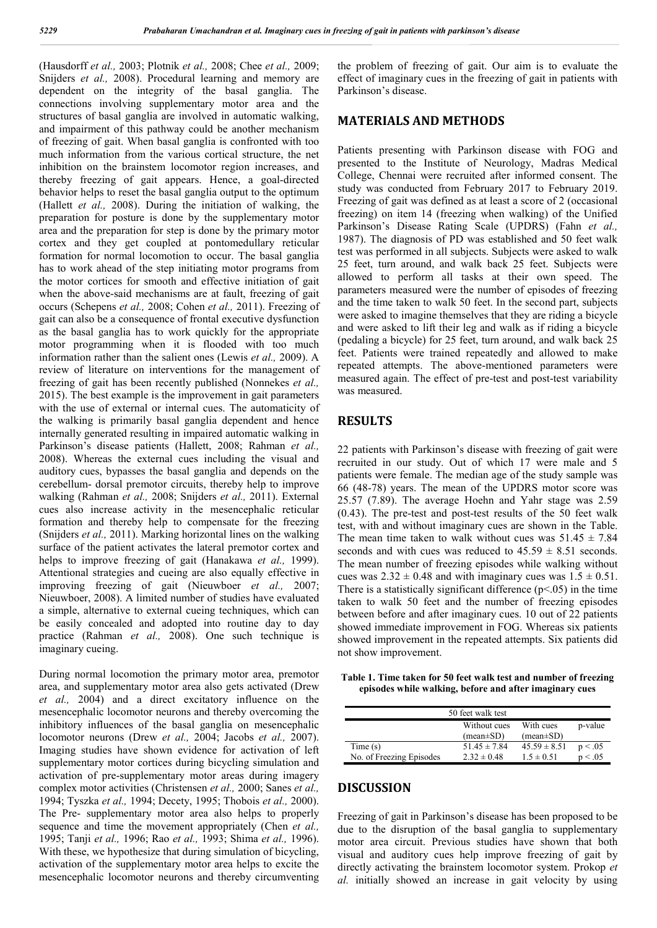(Hausdorff *et al.,* 2003; Plotnik *et al.,* 2008; Chee *et al.,* 2009; Snijders *et al.,* 2008). Procedural learning and memory are dependent on the integrity of the basal ganglia. The connections involving supplementary motor area and the structures of basal ganglia are involved in automatic walking, and impairment of this pathway could be another mechanism of freezing of gait. When basal ganglia is confronted with too much information from the various cortical structure, the net inhibition on the brainstem locomotor region increases, and thereby freezing of gait appears. Hence, a goal-directed behavior helps to reset the basal ganglia output to the optimum (Hallett *et al.,* 2008). During the initiation of walking, the preparation for posture is done by the supplementary motor area and the preparation for step is done by the primary motor cortex and they get coupled at pontomedullary reticular formation for normal locomotion to occur. The basal ganglia has to work ahead of the step initiating motor programs from the motor cortices for smooth and effective initiation of gait when the above-said mechanisms are at fault, freezing of gait occurs (Schepens *et al.,* 2008; Cohen *et al.,* 2011). Freezing of gait can also be a consequence of frontal executive dysfunction as the basal ganglia has to work quickly for the appropriate motor programming when it is flooded with too much information rather than the salient ones (Lewis *et al.,* 2009). A review of literature on interventions for the management of freezing of gait has been recently published (Nonnekes *et al.,*  2015). The best example is the improvement in gait parameters with the use of external or internal cues. The automaticity of the walking is primarily basal ganglia dependent and hence internally generated resulting in impaired automatic walking in Parkinson's disease patients (Hallett, 2008; Rahman *et al.,*  2008). Whereas the external cues including the visual and auditory cues, bypasses the basal ganglia and depends on the cerebellum- dorsal premotor circuits, thereby help to improve walking (Rahman *et al.,* 2008; Snijders *et al.,* 2011). External cues also increase activity in the mesencephalic reticular formation and thereby help to compensate for the freezing (Snijders *et al.,* 2011). Marking horizontal lines on the walking surface of the patient activates the lateral premotor cortex and helps to improve freezing of gait (Hanakawa *et al.,* 1999). Attentional strategies and cueing are also equally effective in improving freezing of gait (Nieuwboer *et al.,* 2007; Nieuwboer, 2008). A limited number of studies have evaluated a simple, alternative to external cueing techniques, which can be easily concealed and adopted into routine day to day practice (Rahman *et al.,* 2008). One such technique is imaginary cueing.

During normal locomotion the primary motor area, premotor area, and supplementary motor area also gets activated (Drew *et al.,* 2004) and a direct excitatory influence on the mesencephalic locomotor neurons and thereby overcoming the inhibitory influences of the basal ganglia on mesencephalic locomotor neurons (Drew *et al.,* 2004; Jacobs *et al.,* 2007). Imaging studies have shown evidence for activation of left supplementary motor cortices during bicycling simulation and activation of pre-supplementary motor areas during imagery complex motor activities (Christensen *et al.,* 2000; Sanes *et al.,*  1994; Tyszka *et al.,* 1994; Decety, 1995; Thobois *et al.,* 2000). The Pre- supplementary motor area also helps to properly sequence and time the movement appropriately (Chen *et al.,*  1995; Tanji *et al.,* 1996; Rao *et al.,* 1993; Shima *et al.,* 1996). With these, we hypothesize that during simulation of bicycling, activation of the supplementary motor area helps to excite the mesencephalic locomotor neurons and thereby circumventing

the problem of freezing of gait. Our aim is to evaluate the effect of imaginary cues in the freezing of gait in patients with Parkinson's disease.

#### **MATERIALS AND METHODS**

Patients presenting with Parkinson disease with FOG and presented to the Institute of Neurology, Madras Medical College, Chennai were recruited after informed consent. The study was conducted from February 2017 to February 2019. Freezing of gait was defined as at least a score of 2 (occasional freezing) on item 14 (freezing when walking) of the Unified Parkinson's Disease Rating Scale (UPDRS) (Fahn *et al.,*  1987). The diagnosis of PD was established and 50 feet walk test was performed in all subjects. Subjects were asked to walk 25 feet, turn around, and walk back 25 feet. Subjects were allowed to perform all tasks at their own speed. The parameters measured were the number of episodes of freezing and the time taken to walk 50 feet. In the second part, subjects were asked to imagine themselves that they are riding a bicycle and were asked to lift their leg and walk as if riding a bicycle (pedaling a bicycle) for 25 feet, turn around, and walk back 25 feet. Patients were trained repeatedly and allowed to make repeated attempts. The above-mentioned parameters were measured again. The effect of pre-test and post-test variability was measured.

# **RESULTS**

22 patients with Parkinson's disease with freezing of gait were recruited in our study. Out of which 17 were male and 5 patients were female. The median age of the study sample was 66 (48-78) years. The mean of the UPDRS motor score was 25.57 (7.89). The average Hoehn and Yahr stage was 2.59 (0.43). The pre-test and post-test results of the 50 feet walk test, with and without imaginary cues are shown in the Table. The mean time taken to walk without cues was  $51.45 \pm 7.84$ seconds and with cues was reduced to  $45.59 \pm 8.51$  seconds. The mean number of freezing episodes while walking without cues was  $2.32 \pm 0.48$  and with imaginary cues was  $1.5 \pm 0.51$ . There is a statistically significant difference  $(p<0.05)$  in the time taken to walk 50 feet and the number of freezing episodes between before and after imaginary cues. 10 out of 22 patients showed immediate improvement in FOG. Whereas six patients showed improvement in the repeated attempts. Six patients did not show improvement.

**Table 1. Time taken for 50 feet walk test and number of freezing episodes while walking, before and after imaginary cues**

| 50 feet walk test        |                                 |                              |         |
|--------------------------|---------------------------------|------------------------------|---------|
|                          | Without cues<br>$(mean \pm SD)$ | With cues<br>$(mean \pm SD)$ | p-value |
| Time (s)                 | $51.45 \pm 7.84$                | $45.59 \pm 8.51$             | p < .05 |
| No. of Freezing Episodes | $2.32 \pm 0.48$                 | $1.5 \pm 0.51$               | p < .05 |

# **DISCUSSION**

Freezing of gait in Parkinson's disease has been proposed to be due to the disruption of the basal ganglia to supplementary motor area circuit. Previous studies have shown that both visual and auditory cues help improve freezing of gait by directly activating the brainstem locomotor system. Prokop *et al.* initially showed an increase in gait velocity by using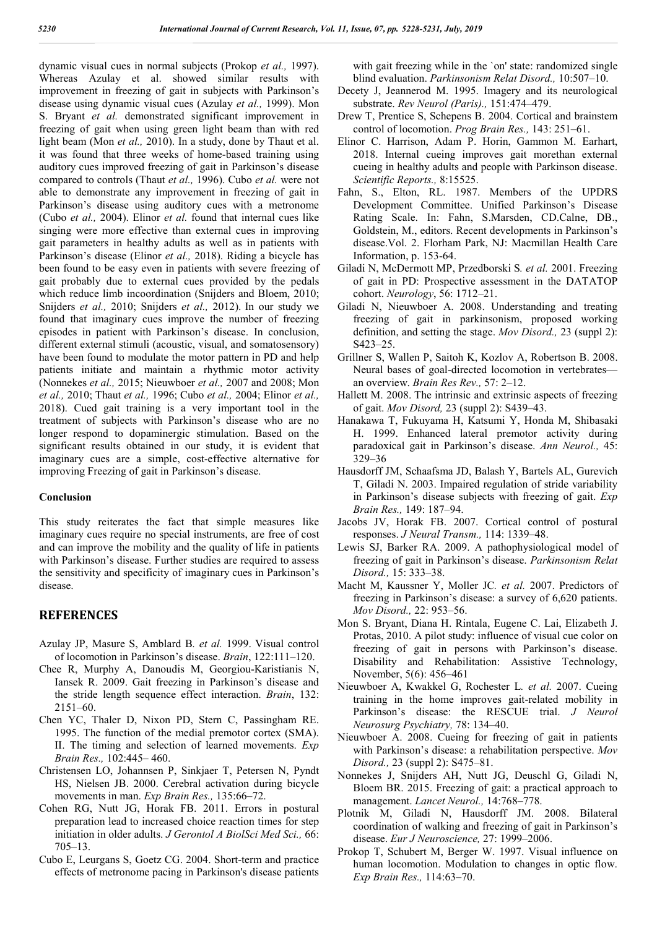dynamic visual cues in normal subjects (Prokop *et al.,* 1997). Whereas Azulay et al. showed similar results with improvement in freezing of gait in subjects with Parkinson's disease using dynamic visual cues (Azulay *et al.,* 1999). Mon S. Bryant *et al.* demonstrated significant improvement in freezing of gait when using green light beam than with red light beam (Mon *et al.,* 2010). In a study, done by Thaut et al. it was found that three weeks of home-based training using auditory cues improved freezing of gait in Parkinson's disease compared to controls (Thaut *et al.,* 1996). Cubo *et al.* were not able to demonstrate any improvement in freezing of gait in Parkinson's disease using auditory cues with a metronome (Cubo *et al.,* 2004). Elinor *et al.* found that internal cues like singing were more effective than external cues in improving gait parameters in healthy adults as well as in patients with Parkinson's disease (Elinor *et al.,* 2018). Riding a bicycle has been found to be easy even in patients with severe freezing of gait probably due to external cues provided by the pedals which reduce limb incoordination (Snijders and Bloem, 2010; Snijders *et al.,* 2010; Snijders *et al.,* 2012). In our study we found that imaginary cues improve the number of freezing episodes in patient with Parkinson's disease. In conclusion, different external stimuli (acoustic, visual, and somatosensory) have been found to modulate the motor pattern in PD and help patients initiate and maintain a rhythmic motor activity (Nonnekes *et al.,* 2015; Nieuwboer *et al.,* 2007 and 2008; Mon *et al.,* 2010; Thaut *et al.,* 1996; Cubo *et al.,* 2004; Elinor *et al.,*  2018). Cued gait training is a very important tool in the treatment of subjects with Parkinson's disease who are no longer respond to dopaminergic stimulation. Based on the significant results obtained in our study, it is evident that imaginary cues are a simple, cost-effective alternative for improving Freezing of gait in Parkinson's disease.

#### **Conclusion**

This study reiterates the fact that simple measures like imaginary cues require no special instruments, are free of cost and can improve the mobility and the quality of life in patients with Parkinson's disease. Further studies are required to assess the sensitivity and specificity of imaginary cues in Parkinson's disease.

# **REFERENCES**

- Azulay JP, Masure S, Amblard B*. et al.* 1999. Visual control of locomotion in Parkinson's disease. *Brain*, 122:111–120.
- Chee R, Murphy A, Danoudis M, Georgiou-Karistianis N, Iansek R. 2009. Gait freezing in Parkinson's disease and the stride length sequence effect interaction. *Brain*, 132: 2151–60.
- Chen YC, Thaler D, Nixon PD, Stern C, Passingham RE. 1995. The function of the medial premotor cortex (SMA). II. The timing and selection of learned movements. *Exp Brain Res.,* 102:445– 460.
- Christensen LO, Johannsen P, Sinkjaer T, Petersen N, Pyndt HS, Nielsen JB. 2000. Cerebral activation during bicycle movements in man. *Exp Brain Res.,* 135:66–72.
- Cohen RG, Nutt JG, Horak FB. 2011. Errors in postural preparation lead to increased choice reaction times for step initiation in older adults. *J Gerontol A BiolSci Med Sci.,* 66: 705–13.
- Cubo E, Leurgans S, Goetz CG. 2004. Short-term and practice effects of metronome pacing in Parkinson's disease patients

with gait freezing while in the 'on' state: randomized single blind evaluation. *Parkinsonism Relat Disord.,* 10:507–10.

- Decety J, Jeannerod M. 1995. Imagery and its neurological substrate. *Rev Neurol (Paris).,* 151:474–479.
- Drew T, Prentice S, Schepens B. 2004. Cortical and brainstem control of locomotion. *Prog Brain Res.,* 143: 251–61.
- Elinor C. Harrison, Adam P. Horin, Gammon M. Earhart, 2018. Internal cueing improves gait morethan external cueing in healthy adults and people with Parkinson disease. *Scientific Reports.,* 8:15525.
- Fahn, S., Elton, RL. 1987. Members of the UPDRS Development Committee. Unified Parkinson's Disease Rating Scale. In: Fahn, S.Marsden, CD.Calne, DB., Goldstein, M., editors. Recent developments in Parkinson's disease.Vol. 2. Florham Park, NJ: Macmillan Health Care Information, p. 153-64.
- Giladi N, McDermott MP, Przedborski S*. et al.* 2001. Freezing of gait in PD: Prospective assessment in the DATATOP cohort. *Neurology*, 56: 1712–21.
- Giladi N, Nieuwboer A. 2008. Understanding and treating freezing of gait in parkinsonism, proposed working definition, and setting the stage. *Mov Disord.,* 23 (suppl 2): S423–25.
- Grillner S, Wallen P, Saitoh K, Kozlov A, Robertson B. 2008. Neural bases of goal-directed locomotion in vertebrates an overview. *Brain Res Rev.,* 57: 2–12.
- Hallett M. 2008. The intrinsic and extrinsic aspects of freezing of gait. *Mov Disord,* 23 (suppl 2): S439–43.
- Hanakawa T, Fukuyama H, Katsumi Y, Honda M, Shibasaki H. 1999. Enhanced lateral premotor activity during paradoxical gait in Parkinson's disease. *Ann Neurol.,* 45: 329–36
- Hausdorff JM, Schaafsma JD, Balash Y, Bartels AL, Gurevich T, Giladi N. 2003. Impaired regulation of stride variability in Parkinson's disease subjects with freezing of gait. *Exp Brain Res.,* 149: 187–94.
- Jacobs JV, Horak FB. 2007. Cortical control of postural responses. *J Neural Transm.,* 114: 1339–48.
- Lewis SJ, Barker RA. 2009. A pathophysiological model of freezing of gait in Parkinson's disease. *Parkinsonism Relat Disord.,* 15: 333–38.
- Macht M, Kaussner Y, Moller JC*. et al.* 2007. Predictors of freezing in Parkinson's disease: a survey of 6,620 patients. *Mov Disord.,* 22: 953–56.
- Mon S. Bryant, Diana H. Rintala, Eugene C. Lai, Elizabeth J. Protas, 2010. A pilot study: influence of visual cue color on freezing of gait in persons with Parkinson's disease. Disability and Rehabilitation: Assistive Technology, November, 5(6): 456–461
- Nieuwboer A, Kwakkel G, Rochester L*. et al.* 2007. Cueing training in the home improves gait-related mobility in Parkinson's disease: the RESCUE trial. *J Neurol Neurosurg Psychiatry,* 78: 134–40.
- Nieuwboer A. 2008. Cueing for freezing of gait in patients with Parkinson's disease: a rehabilitation perspective. *Mov Disord.,* 23 (suppl 2): S475–81.
- Nonnekes J, Snijders AH, Nutt JG, Deuschl G, Giladi N, Bloem BR. 2015. Freezing of gait: a practical approach to management. *Lancet Neurol.,* 14:768–778.
- Plotnik M, Giladi N, Hausdorff JM. 2008. Bilateral coordination of walking and freezing of gait in Parkinson's disease. *Eur J Neuroscience,* 27: 1999–2006.
- Prokop T, Schubert M, Berger W. 1997. Visual influence on human locomotion. Modulation to changes in optic flow. *Exp Brain Res.,* 114:63–70.